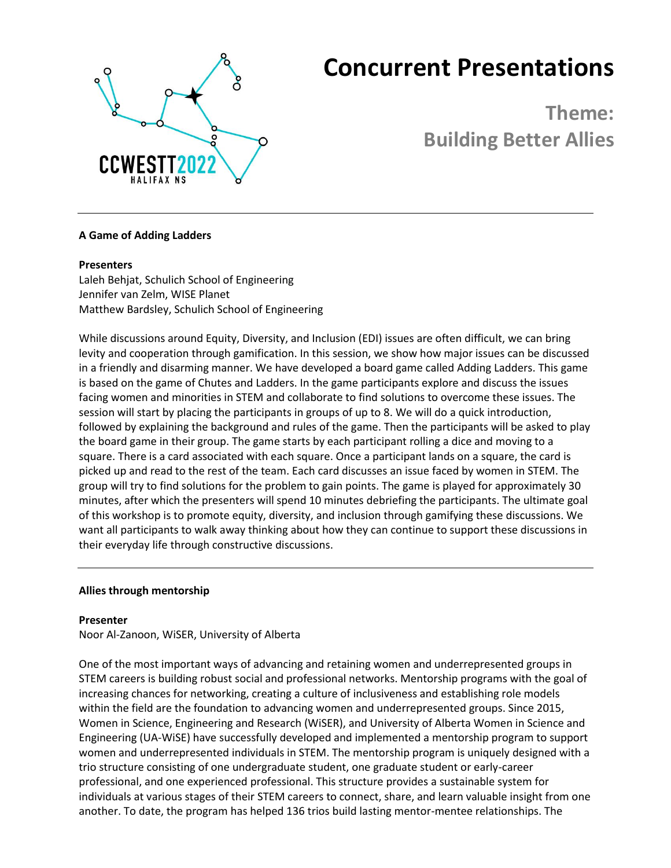

# **Concurrent Presentations**

**Theme: Building Better Allies**

# **A Game of Adding Ladders**

# **Presenters**

Laleh Behjat, Schulich School of Engineering Jennifer van Zelm, WISE Planet Matthew Bardsley, Schulich School of Engineering

While discussions around Equity, Diversity, and Inclusion (EDI) issues are often difficult, we can bring levity and cooperation through gamification. In this session, we show how major issues can be discussed in a friendly and disarming manner. We have developed a board game called Adding Ladders. This game is based on the game of Chutes and Ladders. In the game participants explore and discuss the issues facing women and minorities in STEM and collaborate to find solutions to overcome these issues. The session will start by placing the participants in groups of up to 8. We will do a quick introduction, followed by explaining the background and rules of the game. Then the participants will be asked to play the board game in their group. The game starts by each participant rolling a dice and moving to a square. There is a card associated with each square. Once a participant lands on a square, the card is picked up and read to the rest of the team. Each card discusses an issue faced by women in STEM. The group will try to find solutions for the problem to gain points. The game is played for approximately 30 minutes, after which the presenters will spend 10 minutes debriefing the participants. The ultimate goal of this workshop is to promote equity, diversity, and inclusion through gamifying these discussions. We want all participants to walk away thinking about how they can continue to support these discussions in their everyday life through constructive discussions.

# **Allies through mentorship**

# **Presenter**

Noor Al-Zanoon, WiSER, University of Alberta

One of the most important ways of advancing and retaining women and underrepresented groups in STEM careers is building robust social and professional networks. Mentorship programs with the goal of increasing chances for networking, creating a culture of inclusiveness and establishing role models within the field are the foundation to advancing women and underrepresented groups. Since 2015, Women in Science, Engineering and Research (WiSER), and University of Alberta Women in Science and Engineering (UA-WiSE) have successfully developed and implemented a mentorship program to support women and underrepresented individuals in STEM. The mentorship program is uniquely designed with a trio structure consisting of one undergraduate student, one graduate student or early-career professional, and one experienced professional. This structure provides a sustainable system for individuals at various stages of their STEM careers to connect, share, and learn valuable insight from one another. To date, the program has helped 136 trios build lasting mentor-mentee relationships. The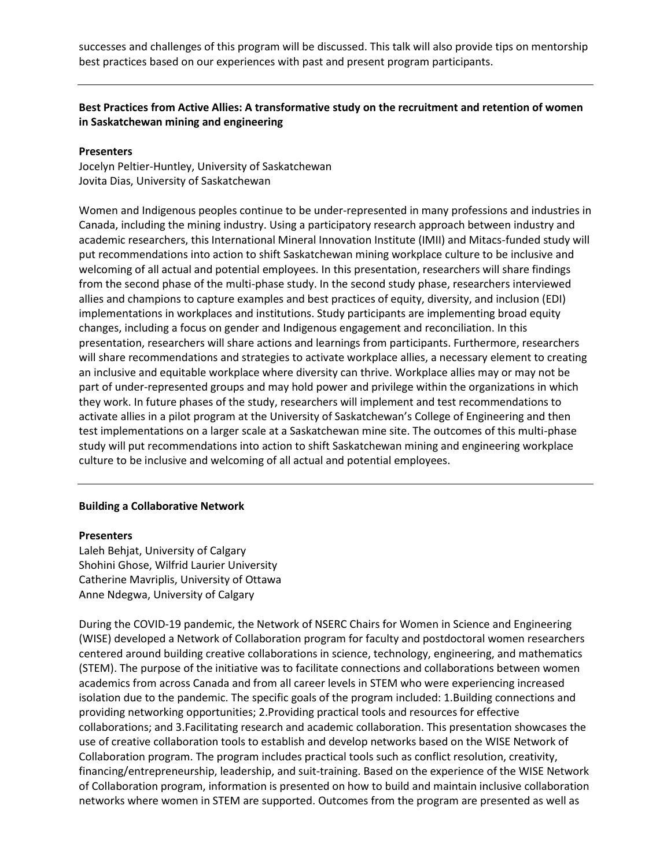successes and challenges of this program will be discussed. This talk will also provide tips on mentorship best practices based on our experiences with past and present program participants.

# **Best Practices from Active Allies: A transformative study on the recruitment and retention of women in Saskatchewan mining and engineering**

## **Presenters**

Jocelyn Peltier-Huntley, University of Saskatchewan Jovita Dias, University of Saskatchewan

Women and Indigenous peoples continue to be under-represented in many professions and industries in Canada, including the mining industry. Using a participatory research approach between industry and academic researchers, this International Mineral Innovation Institute (IMII) and Mitacs-funded study will put recommendations into action to shift Saskatchewan mining workplace culture to be inclusive and welcoming of all actual and potential employees. In this presentation, researchers will share findings from the second phase of the multi-phase study. In the second study phase, researchers interviewed allies and champions to capture examples and best practices of equity, diversity, and inclusion (EDI) implementations in workplaces and institutions. Study participants are implementing broad equity changes, including a focus on gender and Indigenous engagement and reconciliation. In this presentation, researchers will share actions and learnings from participants. Furthermore, researchers will share recommendations and strategies to activate workplace allies, a necessary element to creating an inclusive and equitable workplace where diversity can thrive. Workplace allies may or may not be part of under-represented groups and may hold power and privilege within the organizations in which they work. In future phases of the study, researchers will implement and test recommendations to activate allies in a pilot program at the University of Saskatchewan's College of Engineering and then test implementations on a larger scale at a Saskatchewan mine site. The outcomes of this multi-phase study will put recommendations into action to shift Saskatchewan mining and engineering workplace culture to be inclusive and welcoming of all actual and potential employees.

## **Building a Collaborative Network**

#### **Presenters**

Laleh Behjat, University of Calgary Shohini Ghose, Wilfrid Laurier University Catherine Mavriplis, University of Ottawa Anne Ndegwa, University of Calgary

During the COVID-19 pandemic, the Network of NSERC Chairs for Women in Science and Engineering (WISE) developed a Network of Collaboration program for faculty and postdoctoral women researchers centered around building creative collaborations in science, technology, engineering, and mathematics (STEM). The purpose of the initiative was to facilitate connections and collaborations between women academics from across Canada and from all career levels in STEM who were experiencing increased isolation due to the pandemic. The specific goals of the program included: 1.Building connections and providing networking opportunities; 2.Providing practical tools and resources for effective collaborations; and 3.Facilitating research and academic collaboration. This presentation showcases the use of creative collaboration tools to establish and develop networks based on the WISE Network of Collaboration program. The program includes practical tools such as conflict resolution, creativity, financing/entrepreneurship, leadership, and suit-training. Based on the experience of the WISE Network of Collaboration program, information is presented on how to build and maintain inclusive collaboration networks where women in STEM are supported. Outcomes from the program are presented as well as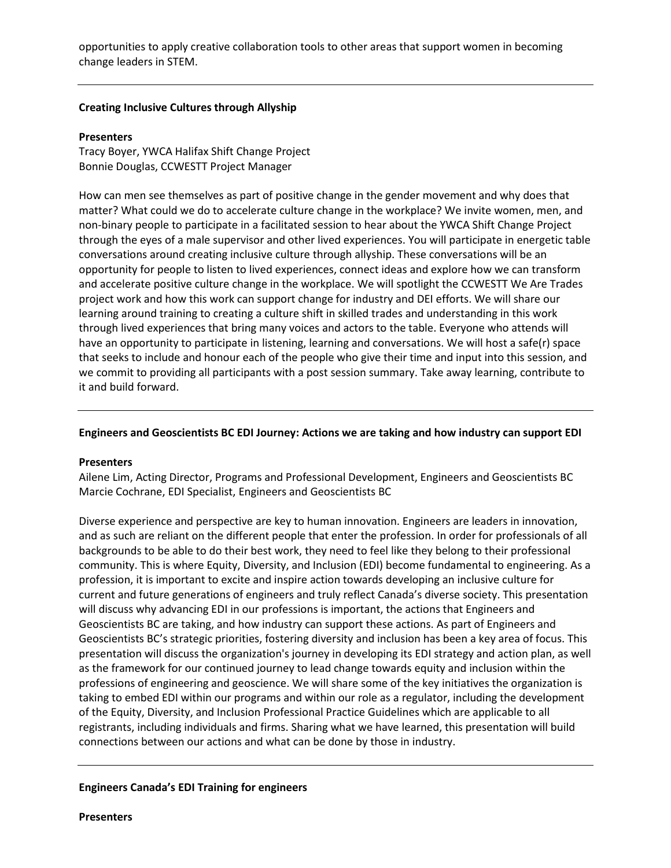opportunities to apply creative collaboration tools to other areas that support women in becoming change leaders in STEM.

## **Creating Inclusive Cultures through Allyship**

## **Presenters**

Tracy Boyer, YWCA Halifax Shift Change Project Bonnie Douglas, CCWESTT Project Manager

How can men see themselves as part of positive change in the gender movement and why does that matter? What could we do to accelerate culture change in the workplace? We invite women, men, and non-binary people to participate in a facilitated session to hear about the YWCA Shift Change Project through the eyes of a male supervisor and other lived experiences. You will participate in energetic table conversations around creating inclusive culture through allyship. These conversations will be an opportunity for people to listen to lived experiences, connect ideas and explore how we can transform and accelerate positive culture change in the workplace. We will spotlight the CCWESTT We Are Trades project work and how this work can support change for industry and DEI efforts. We will share our learning around training to creating a culture shift in skilled trades and understanding in this work through lived experiences that bring many voices and actors to the table. Everyone who attends will have an opportunity to participate in listening, learning and conversations. We will host a safe(r) space that seeks to include and honour each of the people who give their time and input into this session, and we commit to providing all participants with a post session summary. Take away learning, contribute to it and build forward.

## **Engineers and Geoscientists BC EDI Journey: Actions we are taking and how industry can support EDI**

## **Presenters**

Ailene Lim, Acting Director, Programs and Professional Development, Engineers and Geoscientists BC Marcie Cochrane, EDI Specialist, Engineers and Geoscientists BC

Diverse experience and perspective are key to human innovation. Engineers are leaders in innovation, and as such are reliant on the different people that enter the profession. In order for professionals of all backgrounds to be able to do their best work, they need to feel like they belong to their professional community. This is where Equity, Diversity, and Inclusion (EDI) become fundamental to engineering. As a profession, it is important to excite and inspire action towards developing an inclusive culture for current and future generations of engineers and truly reflect Canada's diverse society. This presentation will discuss why advancing EDI in our professions is important, the actions that Engineers and Geoscientists BC are taking, and how industry can support these actions. As part of Engineers and Geoscientists BC's strategic priorities, fostering diversity and inclusion has been a key area of focus. This presentation will discuss the organization's journey in developing its EDI strategy and action plan, as well as the framework for our continued journey to lead change towards equity and inclusion within the professions of engineering and geoscience. We will share some of the key initiatives the organization is taking to embed EDI within our programs and within our role as a regulator, including the development of the Equity, Diversity, and Inclusion Professional Practice Guidelines which are applicable to all registrants, including individuals and firms. Sharing what we have learned, this presentation will build connections between our actions and what can be done by those in industry.

## **Engineers Canada's EDI Training for engineers**

**Presenters**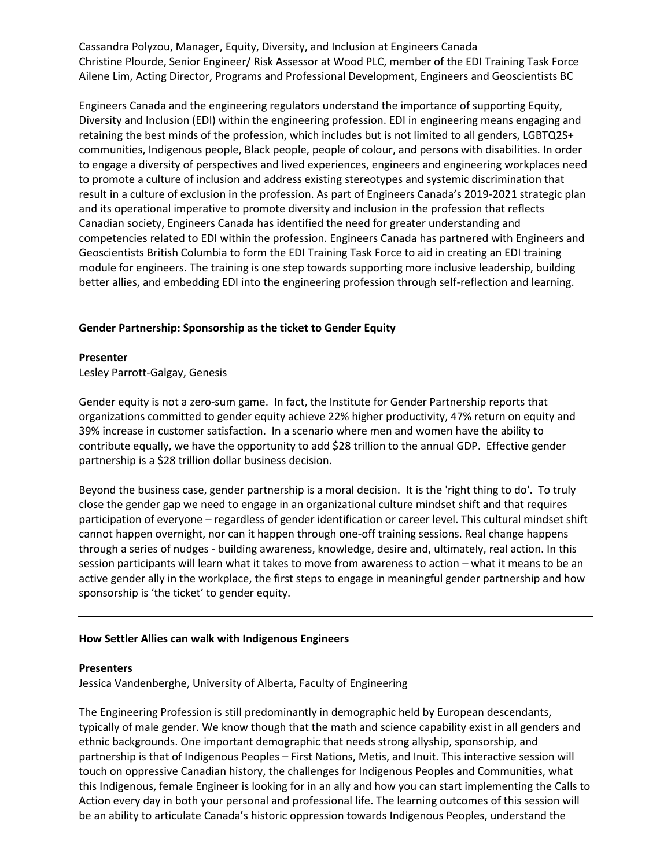Cassandra Polyzou, Manager, Equity, Diversity, and Inclusion at Engineers Canada Christine Plourde, Senior Engineer/ Risk Assessor at Wood PLC, member of the EDI Training Task Force Ailene Lim, Acting Director, Programs and Professional Development, Engineers and Geoscientists BC

Engineers Canada and the engineering regulators understand the importance of supporting Equity, Diversity and Inclusion (EDI) within the engineering profession. EDI in engineering means engaging and retaining the best minds of the profession, which includes but is not limited to all genders, LGBTQ2S+ communities, Indigenous people, Black people, people of colour, and persons with disabilities. In order to engage a diversity of perspectives and lived experiences, engineers and engineering workplaces need to promote a culture of inclusion and address existing stereotypes and systemic discrimination that result in a culture of exclusion in the profession. As part of Engineers Canada's 2019-2021 strategic plan and its operational imperative to promote diversity and inclusion in the profession that reflects Canadian society, Engineers Canada has identified the need for greater understanding and competencies related to EDI within the profession. Engineers Canada has partnered with Engineers and Geoscientists British Columbia to form the EDI Training Task Force to aid in creating an EDI training module for engineers. The training is one step towards supporting more inclusive leadership, building better allies, and embedding EDI into the engineering profession through self-reflection and learning.

## **Gender Partnership: Sponsorship as the ticket to Gender Equity**

#### **Presenter**

Lesley Parrott-Galgay, Genesis

Gender equity is not a zero-sum game. In fact, the Institute for Gender Partnership reports that organizations committed to gender equity achieve 22% higher productivity, 47% return on equity and 39% increase in customer satisfaction. In a scenario where men and women have the ability to contribute equally, we have the opportunity to add \$28 trillion to the annual GDP. Effective gender partnership is a \$28 trillion dollar business decision.

Beyond the business case, gender partnership is a moral decision. It is the 'right thing to do'. To truly close the gender gap we need to engage in an organizational culture mindset shift and that requires participation of everyone – regardless of gender identification or career level. This cultural mindset shift cannot happen overnight, nor can it happen through one-off training sessions. Real change happens through a series of nudges - building awareness, knowledge, desire and, ultimately, real action. In this session participants will learn what it takes to move from awareness to action – what it means to be an active gender ally in the workplace, the first steps to engage in meaningful gender partnership and how sponsorship is 'the ticket' to gender equity.

## **How Settler Allies can walk with Indigenous Engineers**

#### **Presenters**

Jessica Vandenberghe, University of Alberta, Faculty of Engineering

The Engineering Profession is still predominantly in demographic held by European descendants, typically of male gender. We know though that the math and science capability exist in all genders and ethnic backgrounds. One important demographic that needs strong allyship, sponsorship, and partnership is that of Indigenous Peoples – First Nations, Metis, and Inuit. This interactive session will touch on oppressive Canadian history, the challenges for Indigenous Peoples and Communities, what this Indigenous, female Engineer is looking for in an ally and how you can start implementing the Calls to Action every day in both your personal and professional life. The learning outcomes of this session will be an ability to articulate Canada's historic oppression towards Indigenous Peoples, understand the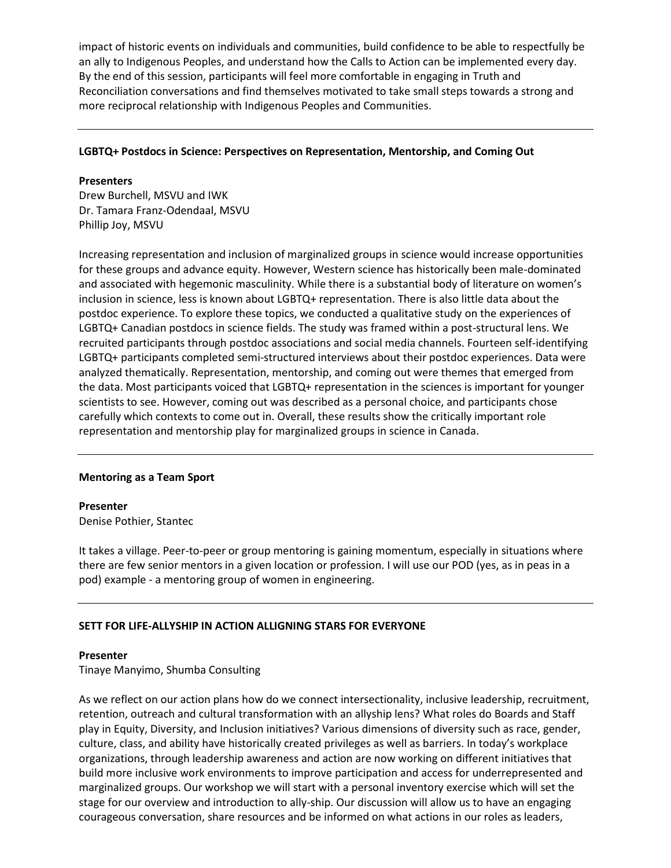impact of historic events on individuals and communities, build confidence to be able to respectfully be an ally to Indigenous Peoples, and understand how the Calls to Action can be implemented every day. By the end of this session, participants will feel more comfortable in engaging in Truth and Reconciliation conversations and find themselves motivated to take small steps towards a strong and more reciprocal relationship with Indigenous Peoples and Communities.

# **LGBTQ+ Postdocs in Science: Perspectives on Representation, Mentorship, and Coming Out**

## **Presenters**

Drew Burchell, MSVU and IWK Dr. Tamara Franz-Odendaal, MSVU Phillip Joy, MSVU

Increasing representation and inclusion of marginalized groups in science would increase opportunities for these groups and advance equity. However, Western science has historically been male-dominated and associated with hegemonic masculinity. While there is a substantial body of literature on women's inclusion in science, less is known about LGBTQ+ representation. There is also little data about the postdoc experience. To explore these topics, we conducted a qualitative study on the experiences of LGBTQ+ Canadian postdocs in science fields. The study was framed within a post-structural lens. We recruited participants through postdoc associations and social media channels. Fourteen self-identifying LGBTQ+ participants completed semi-structured interviews about their postdoc experiences. Data were analyzed thematically. Representation, mentorship, and coming out were themes that emerged from the data. Most participants voiced that LGBTQ+ representation in the sciences is important for younger scientists to see. However, coming out was described as a personal choice, and participants chose carefully which contexts to come out in. Overall, these results show the critically important role representation and mentorship play for marginalized groups in science in Canada.

# **Mentoring as a Team Sport**

**Presenter** Denise Pothier, Stantec

It takes a village. Peer-to-peer or group mentoring is gaining momentum, especially in situations where there are few senior mentors in a given location or profession. I will use our POD (yes, as in peas in a pod) example - a mentoring group of women in engineering.

# **SETT FOR LIFE-ALLYSHIP IN ACTION ALLIGNING STARS FOR EVERYONE**

## **Presenter**

Tinaye Manyimo, Shumba Consulting

As we reflect on our action plans how do we connect intersectionality, inclusive leadership, recruitment, retention, outreach and cultural transformation with an allyship lens? What roles do Boards and Staff play in Equity, Diversity, and Inclusion initiatives? Various dimensions of diversity such as race, gender, culture, class, and ability have historically created privileges as well as barriers. In today's workplace organizations, through leadership awareness and action are now working on different initiatives that build more inclusive work environments to improve participation and access for underrepresented and marginalized groups. Our workshop we will start with a personal inventory exercise which will set the stage for our overview and introduction to ally-ship. Our discussion will allow us to have an engaging courageous conversation, share resources and be informed on what actions in our roles as leaders,